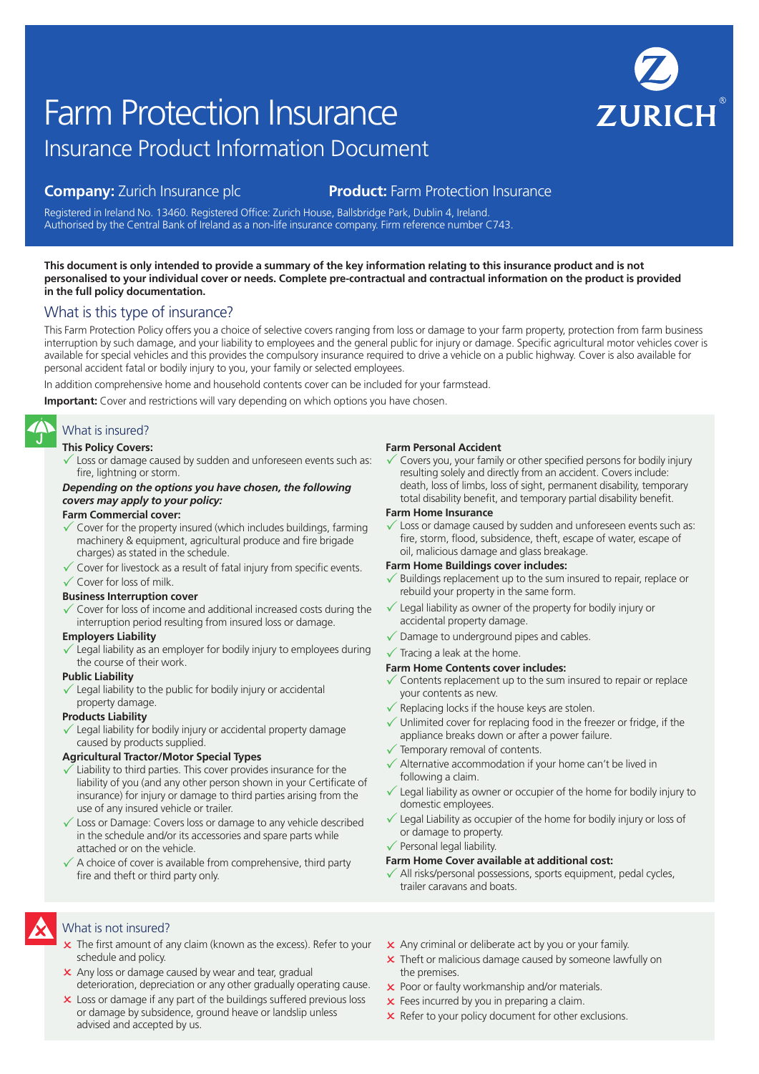# Insurance Product Information Document Farm Protection Insurance

# **Company:** Zurich Insurance plc **Product:** Farm Protection Insurance

Registered in Ireland No. 13460. Registered Office: Zurich House, Ballsbridge Park, Dublin 4, Ireland. Authorised by the Central Bank of Ireland as a non-life insurance company. Firm reference number C743.

#### **This document is only intended to provide a summary of the key information relating to this insurance product and is not personalised to your individual cover or needs. Complete pre-contractual and contractual information on the product is provided in the full policy documentation.**

# What is this type of insurance?

This Farm Protection Policy offers you a choice of selective covers ranging from loss or damage to your farm property, protection from farm business interruption by such damage, and your liability to employees and the general public for injury or damage. Specific agricultural motor vehicles cover is available for special vehicles and this provides the compulsory insurance required to drive a vehicle on a public highway. Cover is also available for personal accident fatal or bodily injury to you, your family or selected employees.

In addition comprehensive home and household contents cover can be included for your farmstead.

**Important:** Cover and restrictions will vary depending on which options you have chosen.

# What is insured?

#### **This Policy Covers:**

 $\checkmark$  Loss or damage caused by sudden and unforeseen events such as: fire, lightning or storm.

#### *Depending on the options you have chosen, the following covers may apply to your policy:*

#### **Farm Commercial cover:**

- Cover for the property insured (which includes buildings, farming machinery & equipment, agricultural produce and fire brigade charges) as stated in the schedule.
- $\checkmark$  Cover for livestock as a result of fatal injury from specific events.  $\checkmark$  Cover for loss of milk.

#### **Business Interruption cover**

 $\checkmark$  Cover for loss of income and additional increased costs during the interruption period resulting from insured loss or damage.

#### **Employers Liability**

 $\checkmark$  Legal liability as an employer for bodily injury to employees during the course of their work.

#### **Public Liability**

Legal liability to the public for bodily injury or accidental property damage.

#### **Products Liability**

Legal liability for bodily injury or accidental property damage caused by products supplied.

#### **Agricultural Tractor/Motor Special Types**

- Liability to third parties. This cover provides insurance for the liability of you (and any other person shown in your Certificate of insurance) for injury or damage to third parties arising from the use of any insured vehicle or trailer.
- $\sqrt{\ }$  Loss or Damage: Covers loss or damage to any vehicle described in the schedule and/or its accessories and spare parts while attached or on the vehicle.
- $\checkmark$  A choice of cover is available from comprehensive, third party fire and theft or third party only.

#### **Farm Personal Accident**

Covers you, your family or other specified persons for bodily injury resulting solely and directly from an accident. Covers include: death, loss of limbs, loss of sight, permanent disability, temporary total disability benefit, and temporary partial disability benefit.

#### **Farm Home Insurance**

Loss or damage caused by sudden and unforeseen events such as: fire, storm, flood, subsidence, theft, escape of water, escape of oil, malicious damage and glass breakage.

#### **Farm Home Buildings cover includes:**

- Buildings replacement up to the sum insured to repair, replace or rebuild your property in the same form.
- $\checkmark$  Legal liability as owner of the property for bodily injury or accidental property damage.
- $\sqrt{\ }$  Damage to underground pipes and cables.
- $\checkmark$  Tracing a leak at the home.

#### **Farm Home Contents cover includes:**

- $\checkmark$  Contents replacement up to the sum insured to repair or replace your contents as new.
- $\checkmark$  Replacing locks if the house keys are stolen.
- $\checkmark$  Unlimited cover for replacing food in the freezer or fridge, if the appliance breaks down or after a power failure.
- $\checkmark$  Temporary removal of contents.
- $\checkmark$  Alternative accommodation if your home can't be lived in following a claim.
- $\checkmark$  Legal liability as owner or occupier of the home for bodily injury to domestic employees.
- Legal Liability as occupier of the home for bodily injury or loss of or damage to property.
- $\checkmark$  Personal legal liability.

#### **Farm Home Cover available at additional cost:**

All risks/personal possessions, sports equipment, pedal cycles, trailer caravans and boats.

# What is not insured?

- $\times$  The first amount of any claim (known as the excess). Refer to your schedule and policy.
- x Any loss or damage caused by wear and tear, gradual deterioration, depreciation or any other gradually operating cause.
- **x** Loss or damage if any part of the buildings suffered previous loss or damage by subsidence, ground heave or landslip unless advised and accepted by us.
- **x** Any criminal or deliberate act by you or your family.
- **x** Theft or malicious damage caused by someone lawfully on the premises.
- **x** Poor or faulty workmanship and/or materials.
- $\times$  Fees incurred by you in preparing a claim.
- $\times$  Refer to your policy document for other exclusions.